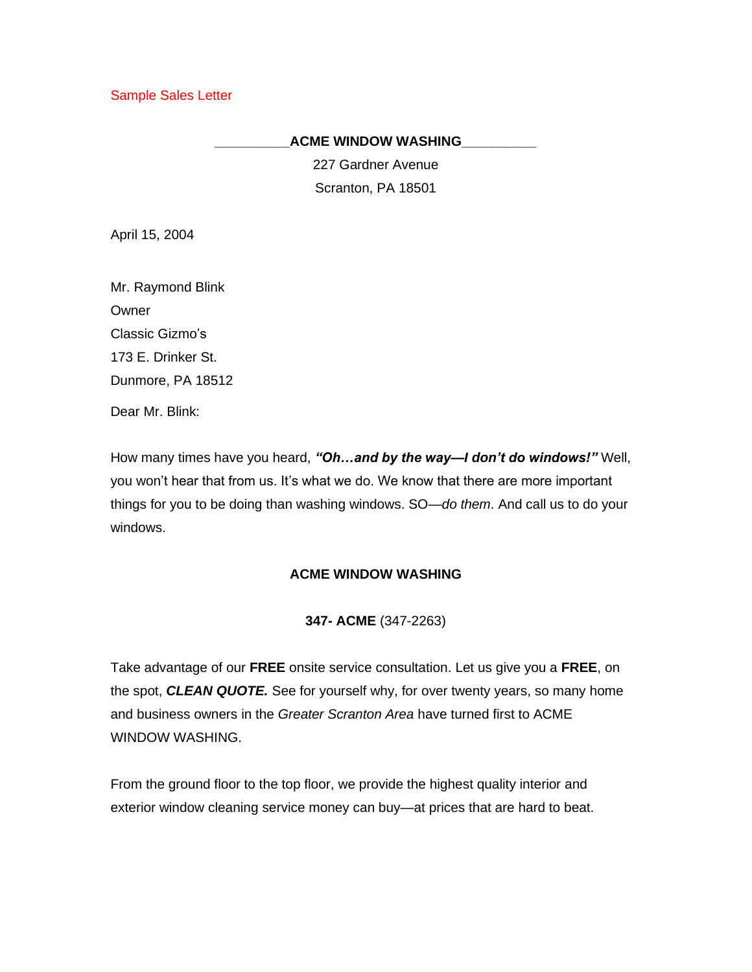Sample Sales Letter

## **\_\_\_\_\_\_\_\_\_\_ACME WINDOW WASHING\_\_\_\_\_\_\_\_\_\_**

227 Gardner Avenue Scranton, PA 18501

April 15, 2004

Mr. Raymond Blink **Owner** Classic Gizmo's 173 E. Drinker St. Dunmore, PA 18512

Dear Mr. Blink:

How many times have you heard, *"Oh…and by the way—I don't do windows!"* Well, you won't hear that from us. It's what we do. We know that there are more important things for you to be doing than washing windows. SO—*do them*. And call us to do your windows.

## **ACME WINDOW WASHING**

**347- ACME** (347-2263)

Take advantage of our **FREE** onsite service consultation. Let us give you a **FREE**, on the spot, *CLEAN QUOTE.* See for yourself why, for over twenty years, so many home and business owners in the *Greater Scranton Area* have turned first to ACME WINDOW WASHING.

From the ground floor to the top floor, we provide the highest quality interior and exterior window cleaning service money can buy—at prices that are hard to beat.